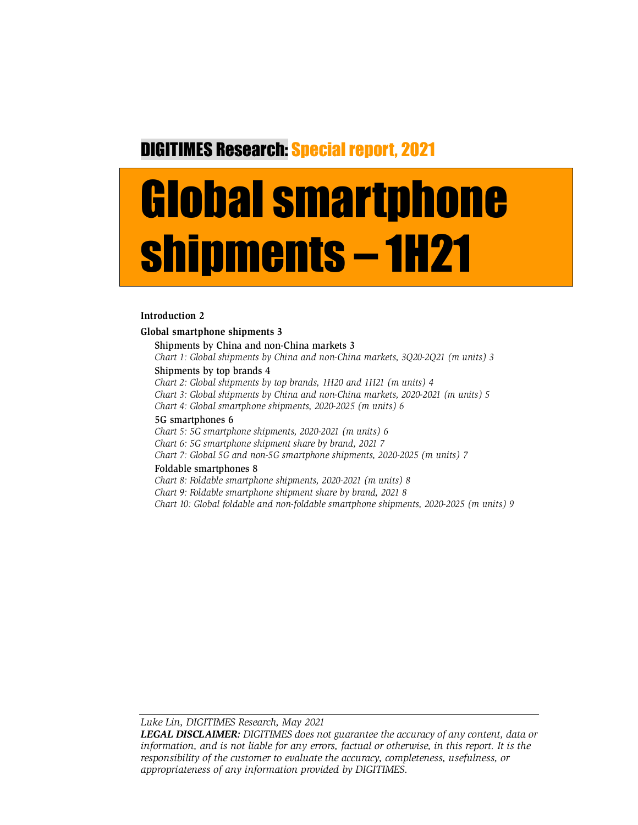## DIGITIMES Research: Special report, 2021

# Global smartphone shipments – 1H21

#### **Introduction 2**

#### **Global smartphone shipments 3** Shipments by China and non-China markets 3 *Chart 1: Global shipments by China and non-China markets, 3Q20-2Q21 (m units) 3* Shipments by top brands 4 *Chart 2: Global shipments by top brands, 1H20 and 1H21 (m units) 4 Chart 3: Global shipments by China and non-China markets, 2020-2021 (m units) 5 Chart 4: Global smartphone shipments, 2020-2025 (m units) 6*

#### 5G smartphones 6

*Chart 5: 5G smartphone shipments, 2020-2021 (m units) 6*

*Chart 6: 5G smartphone shipment share by brand, 2021 7*

*Chart 7: Global 5G and non-5G smartphone shipments, 2020-2025 (m units) 7*

#### Foldable smartphones 8

*Chart 8: Foldable smartphone shipments, 2020-2021 (m units) 8*

*Chart 9: Foldable smartphone shipment share by brand, 2021 8*

*Chart 10: Global foldable and non-foldable smartphone shipments, 2020-2025 (m units) 9*

*Luke Lin, DIGITIMES Research, May 2021* 

*LEGAL DISCLAIMER: DIGITIMES does not guarantee the accuracy of any content, data or information, and is not liable for any errors, factual or otherwise, in this report. It is the responsibility of the customer to evaluate the accuracy, completeness, usefulness, or appropriateness of any information provided by DIGITIMES.*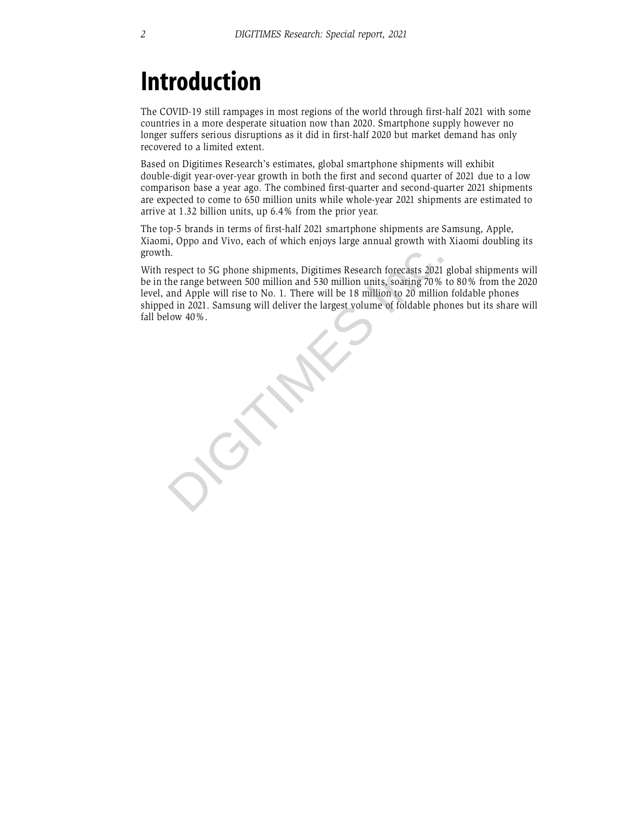## **Introduction**

The COVID-19 still rampages in most regions of the world through first-half 2021 with some countries in a more desperate situation now than 2020. Smartphone supply however no longer suffers serious disruptions as it did in first-half 2020 but market demand has only recovered to a limited extent.

Based on Digitimes Research's estimates, global smartphone shipments will exhibit double-digit year-over-year growth in both the first and second quarter of 2021 due to a low comparison base a year ago. The combined first-quarter and second-quarter 2021 shipments are expected to come to 650 million units while whole-year 2021 shipments are estimated to arrive at 1.32 billion units, up 6.4% from the prior year.

The top-5 brands in terms of first-half 2021 smartphone shipments are Samsung, Apple, Xiaomi, Oppo and Vivo, each of which enjoys large annual growth with Xiaomi doubling its growth.

With respect to 5G phone shipments, Digitimes Research forecasts 2021 global shipments will be in the range between 500 million and 530 million units, soaring 70% to 80% from the 2020 level, and Apple will rise to No. 1. There will be 18 million to 20 million foldable phones shipped in 2021. Samsung will deliver the largest volume of foldable phones but its share will

growth.<br>With respect to 5G phone shipments, Digitimes Research forecasts 2021<br>be in the range between 500 million and 530 million units, soaring 70%<br>level, and Apple will rise to No. 1. There will be 18 million to 20 milli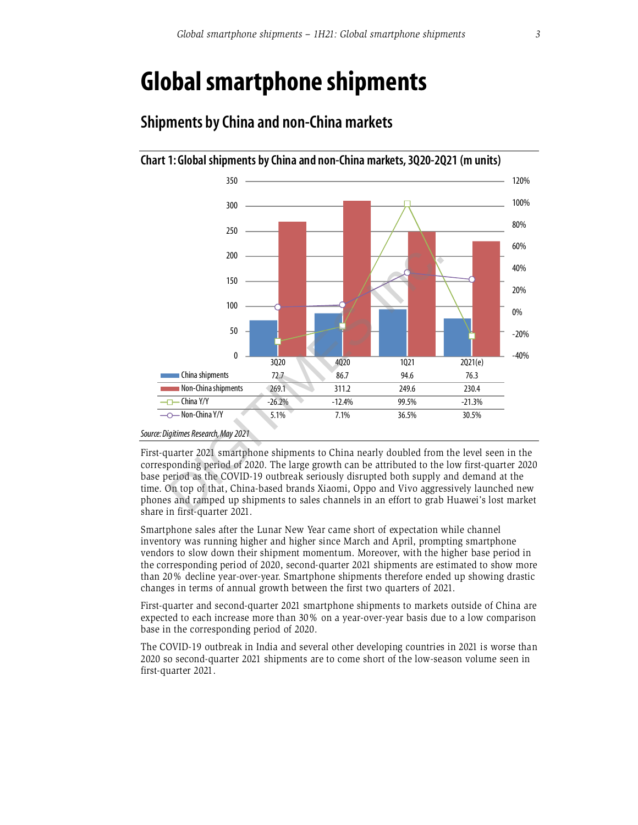## **Global smartphone shipments**



### **Shipments by China and non-China markets**

First-quarter 2021 smartphone shipments to China nearly doubled from the level seen in the corresponding period of 2020. The large growth can be attributed to the low first-quarter 2020 base period as the COVID-19 outbreak seriously disrupted both supply and demand at the time. On top of that, China-based brands Xiaomi, Oppo and Vivo aggressively launched new phones and ramped up shipments to sales channels in an effort to grab Huawei's lost market share in first-quarter 2021.

Smartphone sales after the Lunar New Year came short of expectation while channel inventory was running higher and higher since March and April, prompting smartphone vendors to slow down their shipment momentum. Moreover, with the higher base period in the corresponding period of 2020, second-quarter 2021 shipments are estimated to show more than 20% decline year-over-year. Smartphone shipments therefore ended up showing drastic changes in terms of annual growth between the first two quarters of 2021.

First-quarter and second-quarter 2021 smartphone shipments to markets outside of China are expected to each increase more than 30% on a year-over-year basis due to a low comparison base in the corresponding period of 2020.

The COVID-19 outbreak in India and several other developing countries in 2021 is worse than 2020 so second-quarter 2021 shipments are to come short of the low-season volume seen in first-quarter 2021.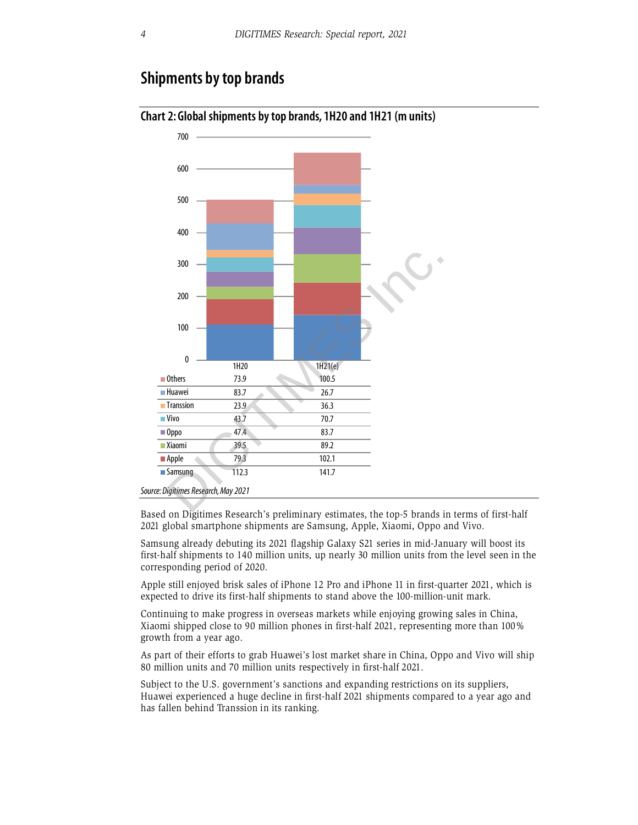#### **Shipments by top brands**



#### **Chart 2: Global shipments by top brands, 1H20 and 1H21 (m units)**

Based on Digitimes Research's preliminary estimates, the top-5 brands in terms of first-half 2021 global smartphone shipments are Samsung, Apple, Xiaomi, Oppo and Vivo.

Samsung already debuting its 2021 flagship Galaxy S21 series in mid-January will boost its first-half shipments to 140 million units, up nearly 30 million units from the level seen in the corresponding period of 2020.

Apple still enjoyed brisk sales of iPhone 12 Pro and iPhone 11 in first-quarter 2021, which is expected to drive its first-half shipments to stand above the 100-million-unit mark.

Continuing to make progress in overseas markets while enjoying growing sales in China, Xiaomi shipped close to 90 million phones in first-half 2021, representing more than 100% growth from a year ago.

As part of their efforts to grab Huawei's lost market share in China, Oppo and Vivo will ship 80 million units and 70 million units respectively in first-half 2021.

Subject to the U.S. government's sanctions and expanding restrictions on its suppliers, Huawei experienced a huge decline in first-half 2021 shipments compared to a year ago and has fallen behind Transsion in its ranking.

*Source: Digitimes Research, May 2021*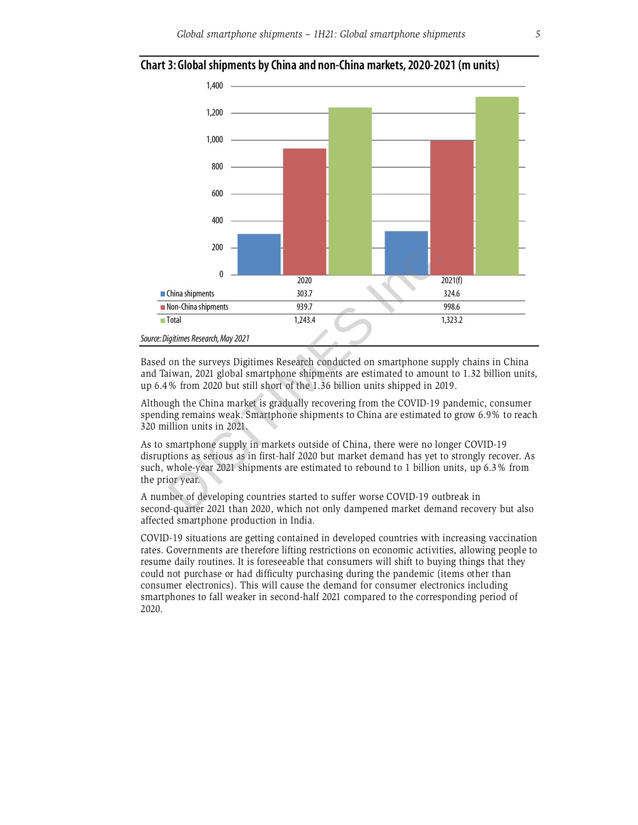

#### **Chart 3: Global shipments by China and non-China markets, 2020-2021 (m units)**

Based on the surveys Digitimes Research conducted on smartphone supply chains in China and Taiwan, 2021 global smartphone shipments are estimated to amount to 1.32 billion units, up 6.4% from 2020 but still short of the 1.36 billion units shipped in 2019.

Although the China market is gradually recovering from the COVID-19 pandemic, consumer spending remains weak. Smartphone shipments to China are estimated to grow 6.9% to reach 320 million units in 2021.

As to smartphone supply in markets outside of China, there were no longer COVID-19 disruptions as serious as in first-half 2020 but market demand has yet to strongly recover. As such, whole-year 2021 shipments are estimated to rebound to 1 billion units, up 6.3% from the prior year.

A number of developing countries started to suffer worse COVID-19 outbreak in second-quarter 2021 than 2020, which not only dampened market demand recovery but also affected smartphone production in India.

COVID-19 situations are getting contained in developed countries with increasing vaccination rates. Governments are therefore lifting restrictions on economic activities, allowing people to resume daily routines. It is foreseeable that consumers will shift to buying things that they could not purchase or had difficulty purchasing during the pandemic (items other than consumer electronics). This will cause the demand for consumer electronics including smartphones to fall weaker in second-half 2021 compared to the corresponding period of 2020.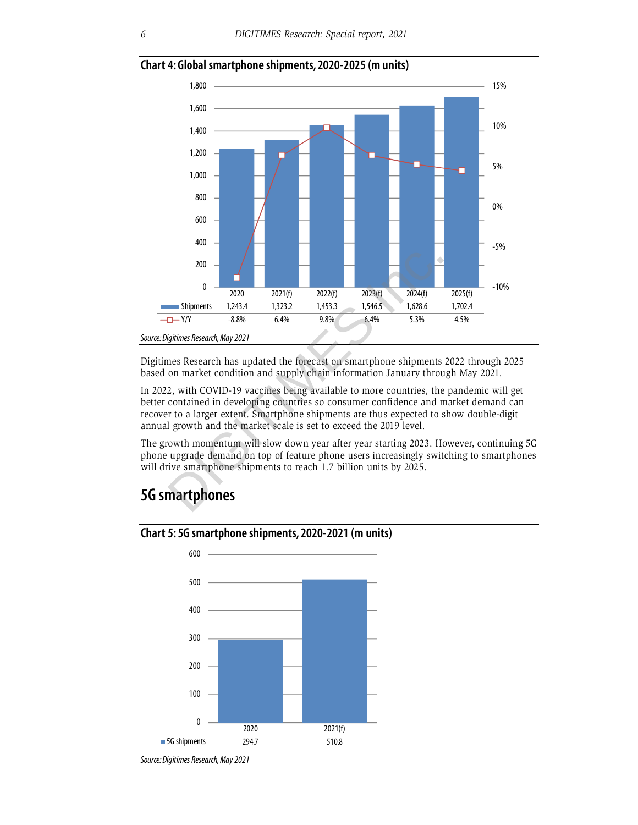

#### **Chart 4: Global smartphone shipments, 2020-2025 (m units)**

Digitimes Research has updated the forecast on smartphone shipments 2022 through 2025 based on market condition and supply chain information January through May 2021.

In 2022, with COVID-19 vaccines being available to more countries, the pandemic will get better contained in developing countries so consumer confidence and market demand can recover to a larger extent. Smartphone shipments are thus expected to show double-digit annual growth and the market scale is set to exceed the 2019 level.

The growth momentum will slow down year after year starting 2023. However, continuing 5G phone upgrade demand on top of feature phone users increasingly switching to smartphones will drive smartphone shipments to reach 1.7 billion units by 2025.

### **5G smartphones**



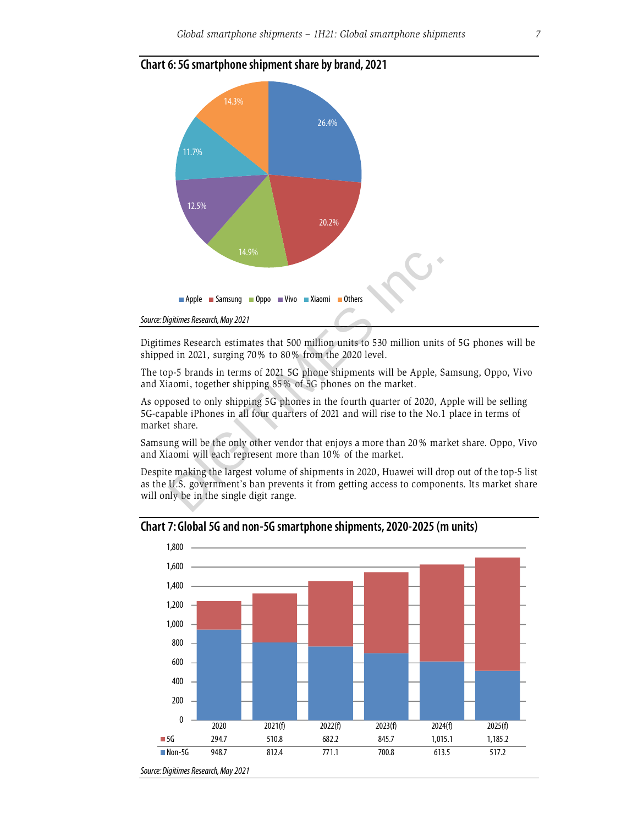

#### **Chart 6: 5G smartphone shipment share by brand, 2021**

Digitimes Research estimates that 500 million units to 530 million units of 5G phones will be shipped in 2021, surging 70% to 80% from the 2020 level.

The top-5 brands in terms of 2021 5G phone shipments will be Apple, Samsung, Oppo, Vivo and Xiaomi, together shipping 85% of 5G phones on the market.

As opposed to only shipping 5G phones in the fourth quarter of 2020, Apple will be selling 5G-capable iPhones in all four quarters of 2021 and will rise to the No.1 place in terms of market share.

Samsung will be the only other vendor that enjoys a more than 20% market share. Oppo, Vivo and Xiaomi will each represent more than 10% of the market.

Despite making the largest volume of shipments in 2020, Huawei will drop out of the top-5 list as the U.S. government's ban prevents it from getting access to components. Its market share will only be in the single digit range.



#### **Chart 7: Global 5G and non-5G smartphone shipments, 2020-2025 (m units)**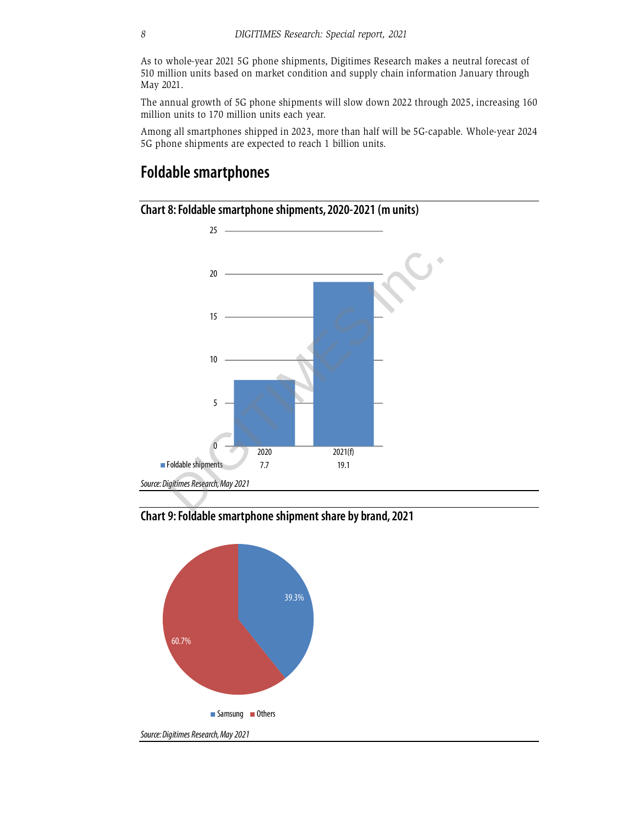As to whole-year 2021 5G phone shipments, Digitimes Research makes a neutral forecast of 510 million units based on market condition and supply chain information January through May 2021.

The annual growth of 5G phone shipments will slow down 2022 through 2025, increasing 160 million units to 170 million units each year.

Among all smartphones shipped in 2023, more than half will be 5G-capable. Whole-year 2024 5G phone shipments are expected to reach 1 billion units.

#### **Foldable smartphones**



**Chart 8: Foldable smartphone shipments, 2020-2021 (m units)** 

#### **Chart 9: Foldable smartphone shipment share by brand, 2021**